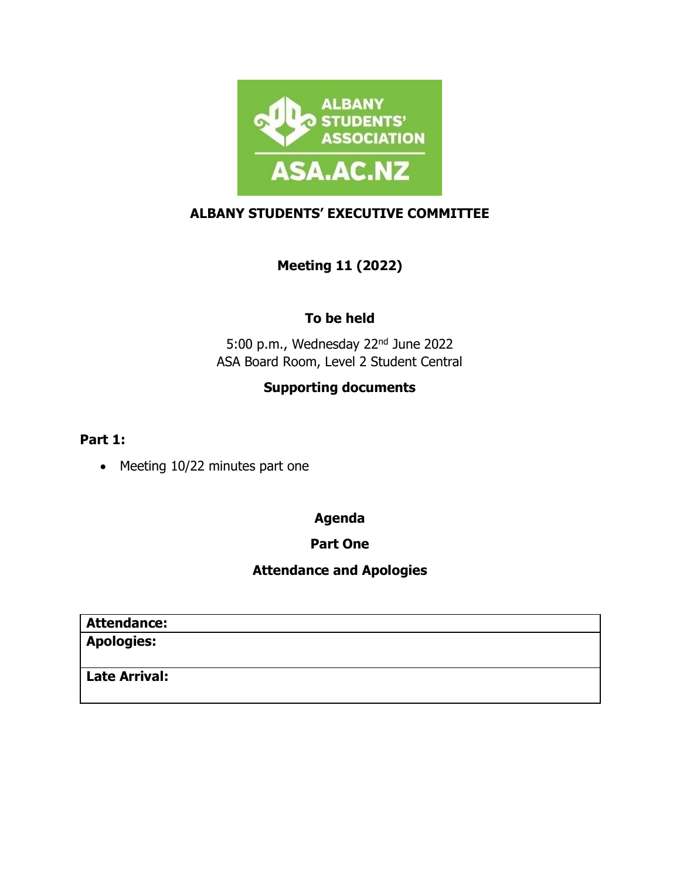

### **ALBANY STUDENTS' EXECUTIVE COMMITTEE**

# **Meeting 11 (2022)**

## **To be held**

5:00 p.m., Wednesday 22nd June 2022 ASA Board Room, Level 2 Student Central

# **Supporting documents**

**Part 1:**

• Meeting 10/22 minutes part one

#### **Agenda**

### **Part One**

## **Attendance and Apologies**

| <b>Attendance:</b>   |  |  |
|----------------------|--|--|
| <b>Apologies:</b>    |  |  |
|                      |  |  |
| <b>Late Arrival:</b> |  |  |
|                      |  |  |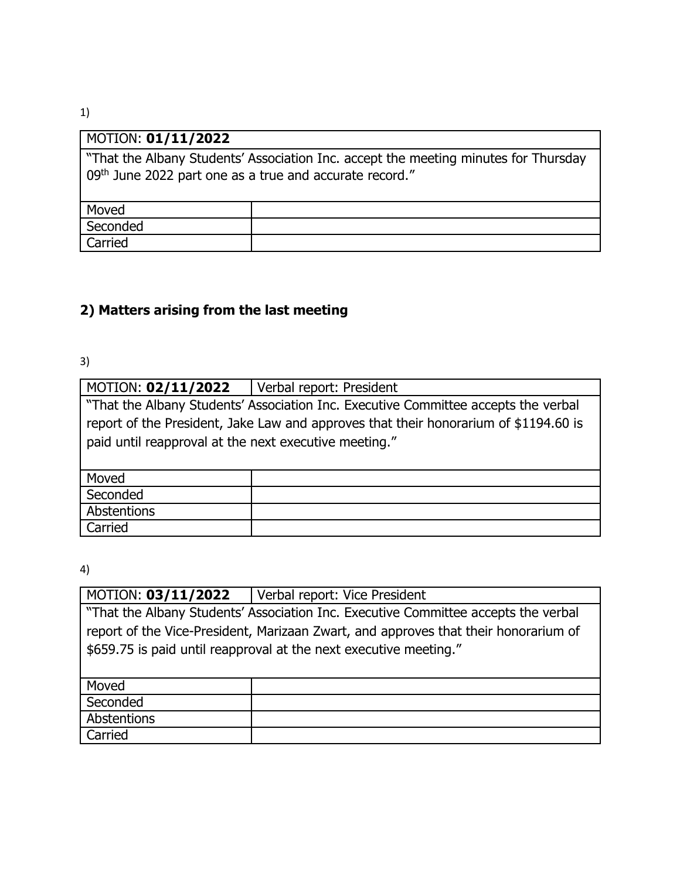#### MOTION: **01/11/2022**

"That the Albany Students' Association Inc. accept the meeting minutes for Thursday 09<sup>th</sup> June 2022 part one as a true and accurate record."

| Moved    |  |
|----------|--|
| Seconded |  |
| Carried  |  |

## **2) Matters arising from the last meeting**

3)

| MOTION: 02/11/2022                                                                   | Verbal report: President |  |
|--------------------------------------------------------------------------------------|--------------------------|--|
| "That the Albany Students' Association Inc. Executive Committee accepts the verbal   |                          |  |
| report of the President, Jake Law and approves that their honorarium of \$1194.60 is |                          |  |
| paid until reapproval at the next executive meeting."                                |                          |  |
|                                                                                      |                          |  |
| Moved                                                                                |                          |  |
| Seconded                                                                             |                          |  |
| Abstentions                                                                          |                          |  |
| Carried                                                                              |                          |  |

4)

| MOTION: 03/11/2022                                                                  | Verbal report: Vice President |  |
|-------------------------------------------------------------------------------------|-------------------------------|--|
| "That the Albany Students' Association Inc. Executive Committee accepts the verbal  |                               |  |
| report of the Vice-President, Marizaan Zwart, and approves that their honorarium of |                               |  |
| \$659.75 is paid until reapproval at the next executive meeting."                   |                               |  |
|                                                                                     |                               |  |
| Moved                                                                               |                               |  |
| Seconded                                                                            |                               |  |
| Abstentions                                                                         |                               |  |
| Carried                                                                             |                               |  |

1)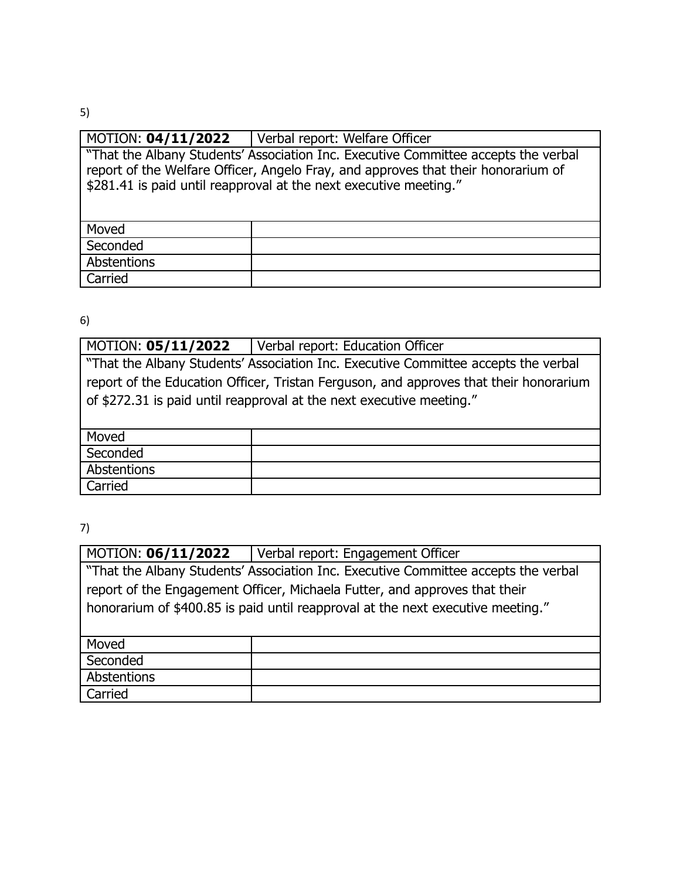5)

| MOTION: 04/11/2022                                                                                                                                                                                                                           | Verbal report: Welfare Officer |  |
|----------------------------------------------------------------------------------------------------------------------------------------------------------------------------------------------------------------------------------------------|--------------------------------|--|
| "That the Albany Students' Association Inc. Executive Committee accepts the verbal<br>report of the Welfare Officer, Angelo Fray, and approves that their honorarium of<br>\$281.41 is paid until reapproval at the next executive meeting." |                                |  |
| Moved                                                                                                                                                                                                                                        |                                |  |
| Seconded                                                                                                                                                                                                                                     |                                |  |
| Abstentions                                                                                                                                                                                                                                  |                                |  |
| Carried                                                                                                                                                                                                                                      |                                |  |
|                                                                                                                                                                                                                                              |                                |  |

6)

| MOTION: 05/11/2022                                                                    | Verbal report: Education Officer |  |
|---------------------------------------------------------------------------------------|----------------------------------|--|
| "That the Albany Students' Association Inc. Executive Committee accepts the verbal    |                                  |  |
| report of the Education Officer, Tristan Ferguson, and approves that their honorarium |                                  |  |
| of \$272.31 is paid until reapproval at the next executive meeting."                  |                                  |  |
|                                                                                       |                                  |  |
| Moved                                                                                 |                                  |  |
| Seconded                                                                              |                                  |  |
| Abstentions                                                                           |                                  |  |
| Carried                                                                               |                                  |  |

7)

| <b>MOTION: 06/11/2022</b>                                                          | Verbal report: Engagement Officer |  |
|------------------------------------------------------------------------------------|-----------------------------------|--|
| "That the Albany Students' Association Inc. Executive Committee accepts the verbal |                                   |  |
| report of the Engagement Officer, Michaela Futter, and approves that their         |                                   |  |
| honorarium of \$400.85 is paid until reapproval at the next executive meeting."    |                                   |  |
|                                                                                    |                                   |  |
| Moved                                                                              |                                   |  |
| Seconded                                                                           |                                   |  |
| Abstentions                                                                        |                                   |  |
| Carried                                                                            |                                   |  |